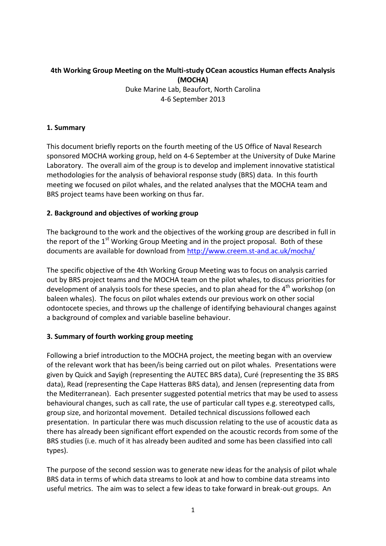# **4th Working Group Meeting on the Multi-study OCean acoustics Human effects Analysis (MOCHA)**

Duke Marine Lab, Beaufort, North Carolina 4-6 September 2013

### **1. Summary**

This document briefly reports on the fourth meeting of the US Office of Naval Research sponsored MOCHA working group, held on 4-6 September at the University of Duke Marine Laboratory. The overall aim of the group is to develop and implement innovative statistical methodologies for the analysis of behavioral response study (BRS) data. In this fourth meeting we focused on pilot whales, and the related analyses that the MOCHA team and BRS project teams have been working on thus far.

## **2. Background and objectives of working group**

The background to the work and the objectives of the working group are described in full in the report of the  $1<sup>st</sup>$  Working Group Meeting and in the project proposal. Both of these documents are available for download from<http://www.creem.st-and.ac.uk/mocha/>

The specific objective of the 4th Working Group Meeting was to focus on analysis carried out by BRS project teams and the MOCHA team on the pilot whales, to discuss priorities for development of analysis tools for these species, and to plan ahead for the 4<sup>th</sup> workshop (on baleen whales). The focus on pilot whales extends our previous work on other social odontocete species, and throws up the challenge of identifying behavioural changes against a background of complex and variable baseline behaviour.

#### **3. Summary of fourth working group meeting**

Following a brief introduction to the MOCHA project, the meeting began with an overview of the relevant work that has been/is being carried out on pilot whales. Presentations were given by Quick and Sayigh (representing the AUTEC BRS data), Curé (representing the 3S BRS data), Read (representing the Cape Hatteras BRS data), and Jensen (representing data from the Mediterranean). Each presenter suggested potential metrics that may be used to assess behavioural changes, such as call rate, the use of particular call types e.g. stereotyped calls, group size, and horizontal movement. Detailed technical discussions followed each presentation. In particular there was much discussion relating to the use of acoustic data as there has already been significant effort expended on the acoustic records from some of the BRS studies (i.e. much of it has already been audited and some has been classified into call types).

The purpose of the second session was to generate new ideas for the analysis of pilot whale BRS data in terms of which data streams to look at and how to combine data streams into useful metrics. The aim was to select a few ideas to take forward in break-out groups. An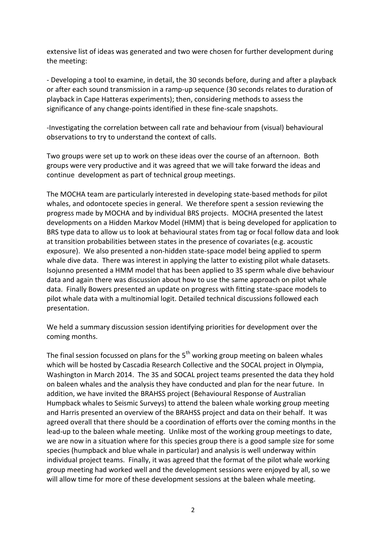extensive list of ideas was generated and two were chosen for further development during the meeting:

- Developing a tool to examine, in detail, the 30 seconds before, during and after a playback or after each sound transmission in a ramp-up sequence (30 seconds relates to duration of playback in Cape Hatteras experiments); then, considering methods to assess the significance of any change-points identified in these fine-scale snapshots.

-Investigating the correlation between call rate and behaviour from (visual) behavioural observations to try to understand the context of calls.

Two groups were set up to work on these ideas over the course of an afternoon. Both groups were very productive and it was agreed that we will take forward the ideas and continue development as part of technical group meetings.

The MOCHA team are particularly interested in developing state-based methods for pilot whales, and odontocete species in general. We therefore spent a session reviewing the progress made by MOCHA and by individual BRS projects. MOCHA presented the latest developments on a Hidden Markov Model (HMM) that is being developed for application to BRS type data to allow us to look at behavioural states from tag or focal follow data and look at transition probabilities between states in the presence of covariates (e.g. acoustic exposure). We also presented a non-hidden state-space model being applied to sperm whale dive data. There was interest in applying the latter to existing pilot whale datasets. Isojunno presented a HMM model that has been applied to 3S sperm whale dive behaviour data and again there was discussion about how to use the same approach on pilot whale data. Finally Bowers presented an update on progress with fitting state-space models to pilot whale data with a multinomial logit. Detailed technical discussions followed each presentation.

We held a summary discussion session identifying priorities for development over the coming months.

The final session focussed on plans for the 5<sup>th</sup> working group meeting on baleen whales which will be hosted by Cascadia Research Collective and the SOCAL project in Olympia, Washington in March 2014. The 3S and SOCAL project teams presented the data they hold on baleen whales and the analysis they have conducted and plan for the near future. In addition, we have invited the BRAHSS project (Behavioural Response of Australian Humpback whales to Seismic Surveys) to attend the baleen whale working group meeting and Harris presented an overview of the BRAHSS project and data on their behalf. It was agreed overall that there should be a coordination of efforts over the coming months in the lead-up to the baleen whale meeting. Unlike most of the working group meetings to date, we are now in a situation where for this species group there is a good sample size for some species (humpback and blue whale in particular) and analysis is well underway within individual project teams. Finally, it was agreed that the format of the pilot whale working group meeting had worked well and the development sessions were enjoyed by all, so we will allow time for more of these development sessions at the baleen whale meeting.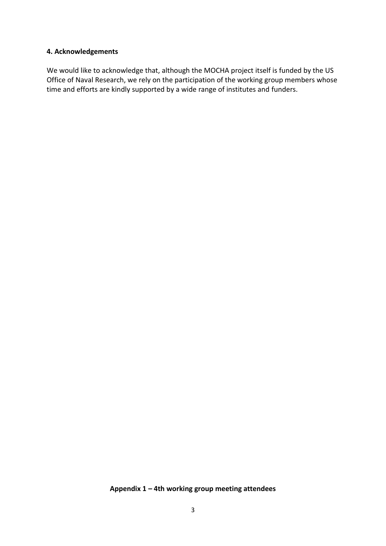#### **4. Acknowledgements**

We would like to acknowledge that, although the MOCHA project itself is funded by the US Office of Naval Research, we rely on the participation of the working group members whose time and efforts are kindly supported by a wide range of institutes and funders.

#### **Appendix 1 – 4th working group meeting attendees**